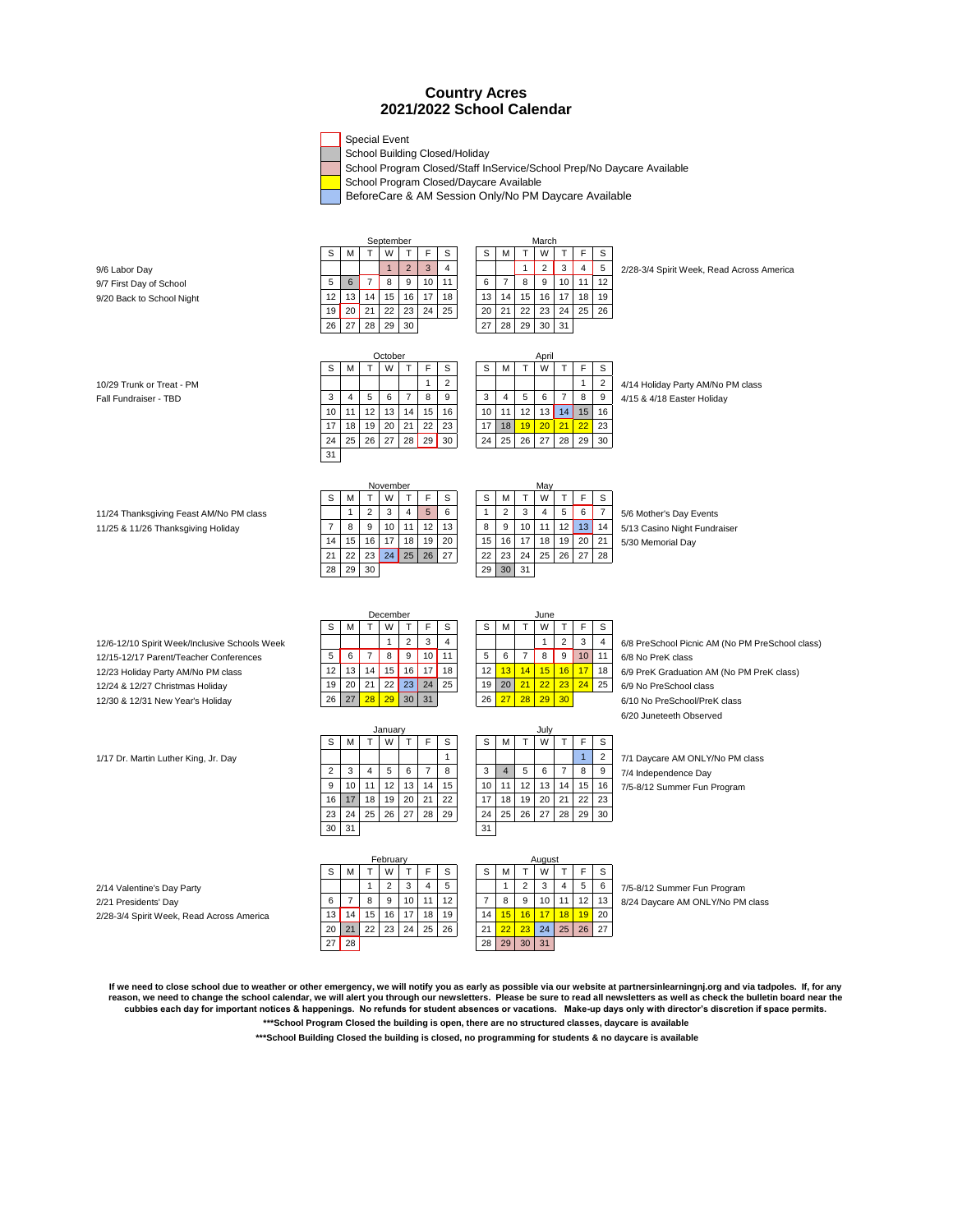## **Country Acres 2021/2022 School Calendar**

Special Event

School Building Closed/Holiday

School Program Closed/Staff InService/School Prep/No Daycare Available

School Program Closed/Daycare Available

BeforeCare & AM Session Only/No PM Daycare Available

|                                               | September      |                |                |                |                                   |                |  | March          |                |                |                |                  |                                        |                                                 |
|-----------------------------------------------|----------------|----------------|----------------|----------------|-----------------------------------|----------------|--|----------------|----------------|----------------|----------------|------------------|----------------------------------------|-------------------------------------------------|
|                                               | S              | M              | T              | W              | $\mathsf{T}$<br>F                 | S              |  | S              | М              | $\mathsf T$    | W              | $\mathsf T$      | F<br>S                                 |                                                 |
| 9/6 Labor Day                                 |                |                |                | $\mathbf{1}$   | $\overline{2}$<br>$\overline{3}$  | 4              |  |                |                | $\mathbf{1}$   | $\overline{2}$ | $\mathsf 3$      | $\overline{\mathbf{4}}$<br>$\,$ 5 $\,$ | 2/28-3/4 Spirit Week, Read Across America       |
| 9/7 First Day of School                       | 5              | 6              | $\overline{7}$ | 8              | 9<br>10                           | 11             |  | 6              | $\overline{7}$ | 8              | 9              | 10               | 11<br>12                               |                                                 |
| 9/20 Back to School Night                     | 12             | 13             | 14             | 15             | 17<br>16                          | 18             |  | 13             | 14             | 15             | 16             | 17               | 18<br>19                               |                                                 |
|                                               | 19             | 20             | 21             | 22             | 23<br>24                          | 25             |  | 20             | 21             | 22             | 23             | 24               | 25<br>26                               |                                                 |
|                                               | 26             | 27             | 28             | 29             | 30                                |                |  | 27             | 28             | 29             | 30             | 31               |                                        |                                                 |
|                                               |                |                |                |                |                                   |                |  |                |                |                |                |                  |                                        |                                                 |
|                                               |                |                |                |                |                                   |                |  |                |                |                |                |                  |                                        |                                                 |
|                                               | S              | M              | T.             | October<br>W   | $\mathsf{T}$<br>F                 | S              |  | s              | M              | $\top$         | April<br>W     | $\top$           | F<br>S                                 |                                                 |
|                                               |                |                |                |                | $\mathbf{1}$                      | $\overline{2}$ |  |                |                |                |                |                  | $\mathbf{1}$                           |                                                 |
| 10/29 Trunk or Treat - PM                     |                |                |                |                |                                   |                |  |                |                |                |                |                  | $\sqrt{2}$                             | 4/14 Holiday Party AM/No PM class               |
| Fall Fundraiser - TBD                         | 3              | $\overline{4}$ | 5              | 6              | $\overline{7}$<br>8               | 9              |  | 3              | $\overline{4}$ | 5              | 6              | $\overline{7}$   | 8<br>$\boldsymbol{9}$                  | 4/15 & 4/18 Easter Holiday                      |
|                                               | 10             | 11             | 12             | 13             | 14<br>15                          | 16             |  | 10             | 11             | 12             | 13             | 14               | 15<br>16                               |                                                 |
|                                               | 17             | 18             | 19             | 20             | 21<br>22                          | 23             |  | 17             | 18             | 19             | 20             | 21               | 22<br>23                               |                                                 |
|                                               | 24             | 25             | 26             | 27             | 28<br>29                          | 30             |  | 24             | 25             | 26             | 27             | 28               | 29<br>30                               |                                                 |
|                                               | 31             |                |                |                |                                   |                |  |                |                |                |                |                  |                                        |                                                 |
|                                               |                |                |                |                |                                   |                |  |                |                |                |                |                  |                                        |                                                 |
|                                               |                |                | November       |                |                                   |                |  |                |                |                | May            |                  |                                        |                                                 |
|                                               | S              | M              | T              | W              | F<br>T                            | S              |  | S              | M              | $\mathsf{T}$   | W              | $\mathsf{T}$     | F<br>S                                 |                                                 |
| 11/24 Thanksgiving Feast AM/No PM class       |                | $\mathbf{1}$   | $\overline{2}$ | 3              | $\overline{4}$<br>$5\phantom{.0}$ | 6              |  | $\mathbf{1}$   | $\overline{2}$ | 3              | $\overline{4}$ | 5                | 6<br>$\overline{7}$                    | 5/6 Mother's Day Events                         |
| 11/25 & 11/26 Thanksgiving Holiday            | $\overline{7}$ | 8              | 9              | 10             | 11<br>12                          | 13             |  | 8              | 9              | 10             | 11             | 12               | 13<br>14                               | 5/13 Casino Night Fundraiser                    |
|                                               | 14             | 15             | 16             | 17             | 18<br>19                          | 20             |  | 15             | 16             | 17             | 18             | 19               | 20<br>21                               | 5/30 Memorial Day                               |
|                                               | 21             | 22             | 23             | 24             | 25<br>26                          | 27             |  | 22             | 23             | 24             | 25             | 26               | 27<br>28                               |                                                 |
|                                               | 28             | 29             | 30             |                |                                   |                |  | 29             | 30             | 31             |                |                  |                                        |                                                 |
|                                               |                |                |                |                |                                   |                |  |                |                |                |                |                  |                                        |                                                 |
|                                               |                |                |                |                |                                   |                |  |                |                |                |                |                  |                                        |                                                 |
|                                               |                |                | December       |                |                                   |                |  |                |                |                |                |                  |                                        |                                                 |
|                                               | S              | M              | T              | W              | $\mathsf F$<br>Т                  | S              |  | S              | М              | $\top$         | June<br>W      | $\mathsf{T}$     | F<br>$\mathsf{s}$                      |                                                 |
|                                               |                |                |                | 1              | $\overline{2}$<br>3               | $\overline{4}$ |  |                |                |                | $\mathbf{1}$   | $\overline{2}$   | 3<br>$\overline{4}$                    |                                                 |
| 12/6-12/10 Spirit Week/Inclusive Schools Week | 5              | 6              | $\overline{7}$ | 8              | $\boldsymbol{9}$<br>10            | 11             |  | 5              | 6              | $\overline{7}$ | 8              | $\boldsymbol{9}$ | 10 <sub>1</sub><br>11                  | 6/8 PreSchool Picnic AM (No PM PreSchool class) |
| 12/15-12/17 Parent/Teacher Conferences        | 12             |                | 14             |                |                                   | 18             |  | 12             |                | 14             |                |                  |                                        | 6/8 No PreK class                               |
| 12/23 Holiday Party AM/No PM class            |                | 13             |                | 15             | 16<br>17                          |                |  |                | 13             |                | 15             | 16               | 17<br>18                               | 6/9 PreK Graduation AM (No PM PreK class)       |
| 12/24 & 12/27 Christmas Holiday               | 19             | 20             | 21             | 22             | 23<br>24                          | 25             |  | 19             | 20             | 21             | 22             | 23               | 24<br>25                               | 6/9 No PreSchool class                          |
| 12/30 & 12/31 New Year's Holiday              | 26             | 27             | 28             | 29             | 30<br>31                          |                |  | 26             | 27             | 28             | 29             | 30               |                                        | 6/10 No PreSchool/PreK class                    |
|                                               |                |                |                |                |                                   |                |  |                |                |                |                |                  |                                        | 6/20 Juneteeth Observed                         |
|                                               |                |                |                | January        |                                   |                |  |                |                |                | Julv           |                  |                                        |                                                 |
|                                               | S              | M              | T              | W              | T<br>F                            | S              |  | S              | M              | $\mathsf T$    | W              | $\top$           | F<br>s                                 |                                                 |
| 1/17 Dr. Martin Luther King, Jr. Day          |                |                |                |                |                                   | $\mathbf{1}$   |  |                |                |                |                |                  | $\overline{1}$<br>$\sqrt{2}$           | 7/1 Daycare AM ONLY/No PM class                 |
|                                               | $\overline{2}$ | 3              | 4              | 5              | $\overline{7}$<br>6               | 8              |  | 3              | $\overline{4}$ | 5              | 6              | $\overline{7}$   | 8<br>9                                 | 7/4 Independence Day                            |
|                                               | 9              | 10             | 11             | 12             | 13<br>14                          | 15             |  | 10             | 11             | 12             | 13             | 14               | 15<br>16                               | 7/5-8/12 Summer Fun Program                     |
|                                               | 16             | 17             | 18             | 19             | 20<br>21                          | 22             |  | 17             | 18             | 19             | 20             | 21               | 22<br>23                               |                                                 |
|                                               | 23             | 24             | 25             | 26             | 27<br>28                          | 29             |  | 24             | 25             | 26             | 27             | 28               | 29<br>30                               |                                                 |
|                                               | 30             | 31             |                |                |                                   |                |  | 31             |                |                |                |                  |                                        |                                                 |
|                                               |                |                |                |                |                                   |                |  |                |                |                |                |                  |                                        |                                                 |
|                                               | February       |                |                |                |                                   |                |  | August         |                |                |                |                  |                                        |                                                 |
|                                               | S              | M              | T              | W              | $\mathsf F$<br>T                  | S              |  | S              | M              | $\mathsf{T}$   | W              | $\mathsf{T}$     | F<br>S                                 |                                                 |
| 2/14 Valentine's Day Party                    |                |                | $\mathbf{1}$   | $\overline{2}$ | 3<br>$\overline{4}$               | 5              |  |                | $\mathbf{1}$   | $\overline{2}$ | 3              | $\overline{4}$   | 5<br>6                                 | 7/5-8/12 Summer Fun Program                     |
| 2/21 Presidents' Day                          | 6              | $\overline{7}$ | 8              | 9              | 10<br>11                          | 12             |  | $\overline{7}$ | 8              | 9              | 10             | 11               | 12<br>13                               | 8/24 Daycare AM ONLY/No PM class                |
|                                               | 13             | 14             | 15             | 16             | 17<br>18                          | 19             |  | 14             | 15             | 16             | 17             | 18               | 19<br>20                               |                                                 |
| 2/28-3/4 Spirit Week, Read Across America     | 20             | 21             | 22             | 23             | 24<br>25                          | 26             |  | 21             | 22             | 23             | 24             | 25               | 26<br>27                               |                                                 |
|                                               | 27             | 28             |                |                |                                   |                |  | 28             | 29             | 30             | 31             |                  |                                        |                                                 |
|                                               |                |                |                |                |                                   |                |  |                |                |                |                |                  |                                        |                                                 |

If we need to close school due to weather or other emergency, we will notify you as early as possible via our website at partnersinlearningnj.org and via tadpoles. If, for any<br>reason, we need to change the school calendar,

**\*\*\*School Program Closed the building is open, there are no structured classes, daycare is available**

 **\*\*\*School Building Closed the building is closed, no programming for students & no daycare is available**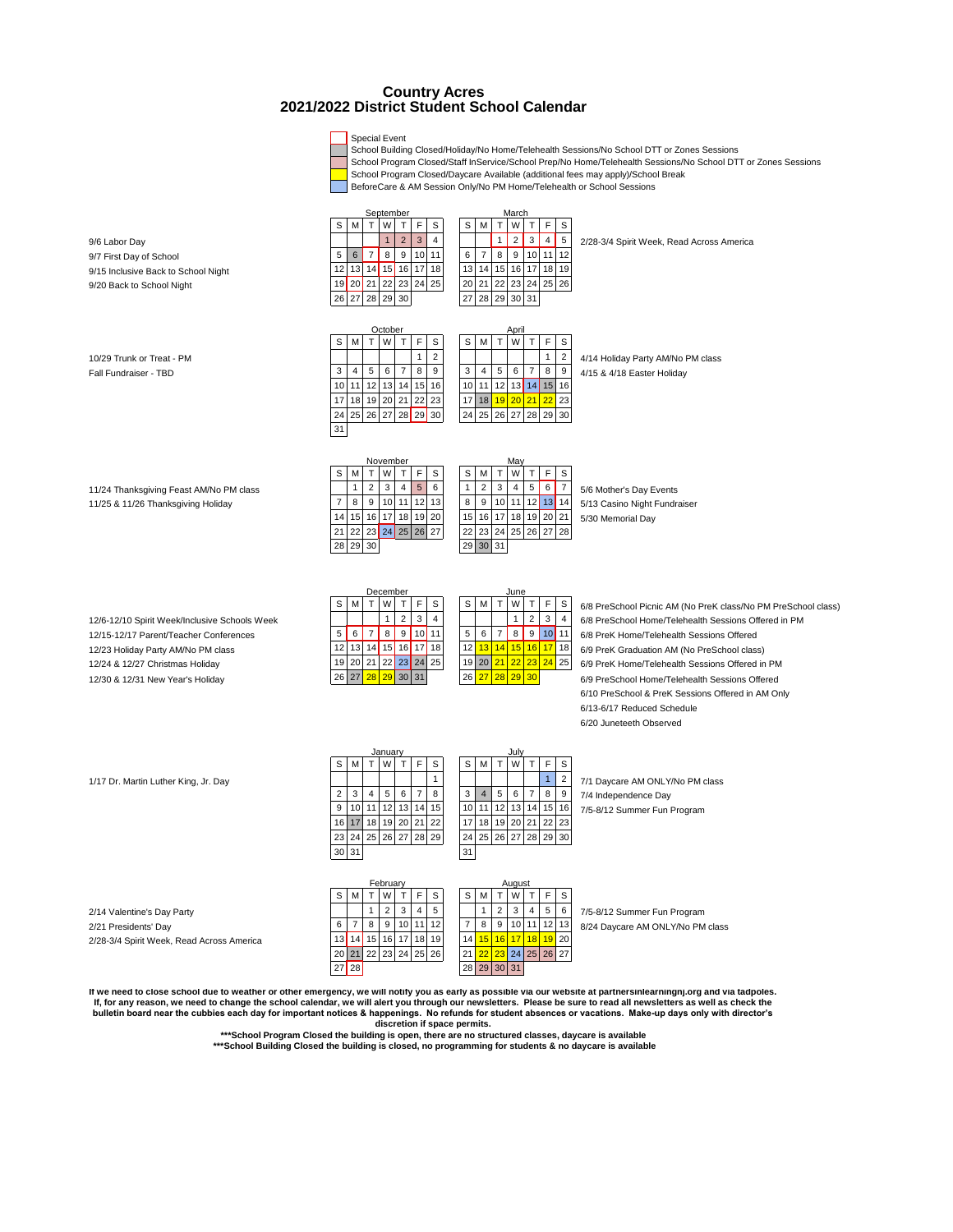## **2021/2022 District Student School Calendar Country Acres**

Special Event



it we need to close school due to weather or other emergency, we will notify you as early as possible via our website at partnersinlearningnj.org and via tadpoles.<br>If, for any reason, we need to change the school calendar, **bulletin board near the cubbies each day for important notices & happenings. No refunds for student absences or vacations. Make-up days only with director's discretion if space permits.** 

**\*\*\*School Program Closed the building is open, there are no structured classes, daycare is available**

 **\*\*\*School Building Closed the building is closed, no programming for students & no daycare is available**